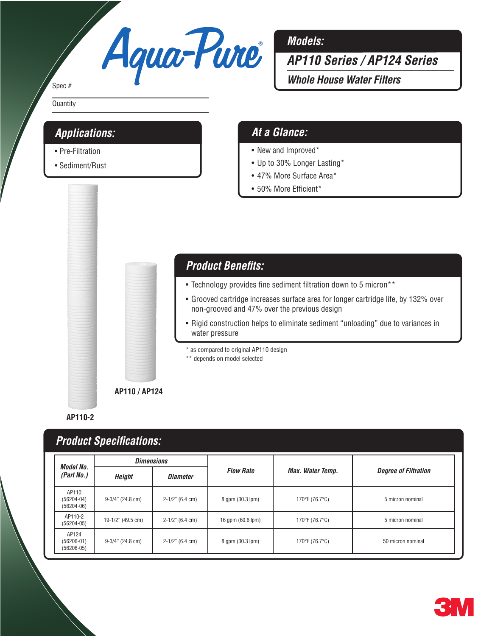# Agua-Pure<sup>1</sup>

#### Spec #

**Quantity** 

#### *Applications:*

- Pre-Filtration
- Sediment/Rust

#### *Models:*

*AP110 Series / AP124 Series*

*Whole House Water Filters*

#### *At a Glance:*

- New and Improved\*
- • Up to 30% Longer Lasting\*
- 47% More Surface Area\*
- • 50% More Efficient\*



#### *Product Benefits:*

- Technology provides fine sediment filtration down to 5 micron\*\*
- Grooved cartridge increases surface area for longer cartridge life, by 132% over non-grooved and 47% over the previous design
- Rigid construction helps to eliminate sediment "unloading" due to variances in water pressure

\* as compared to original AP110 design

\*\* depends on model selected

**AP110-2**

## *Product Specifications:*

| <b>Model No.</b>                          | <b>Dimensions</b>   |                      |                   |                  |                             |
|-------------------------------------------|---------------------|----------------------|-------------------|------------------|-----------------------------|
| (Part No.)                                | Height              | <b>Diameter</b>      | <b>Flow Rate</b>  | Max. Water Temp. | <b>Degree of Filtration</b> |
| AP110<br>$(56204 - 04)$<br>$(56204 - 06)$ | $9-3/4$ " (24.8 cm) | $2-1/2$ " (6.4 cm)   | 8 gpm (30.3 lpm)  | 170°F (76.7°C)   | 5 micron nominal            |
| AP110-2<br>$(56204 - 05)$                 | 19-1/2" (49.5 cm)   | $2-1/2$ " (6.4 cm)   | 16 gpm (60.6 lpm) | 170°F (76.7°C)   | 5 micron nominal            |
| AP124<br>$(56206 - 01)$<br>$(56206 - 05)$ | $9-3/4$ " (24.8 cm) | $2 - 1/2$ " (6.4 cm) | 8 gpm (30.3 lpm)  | 170°F (76.7°C)   | 50 micron nominal           |